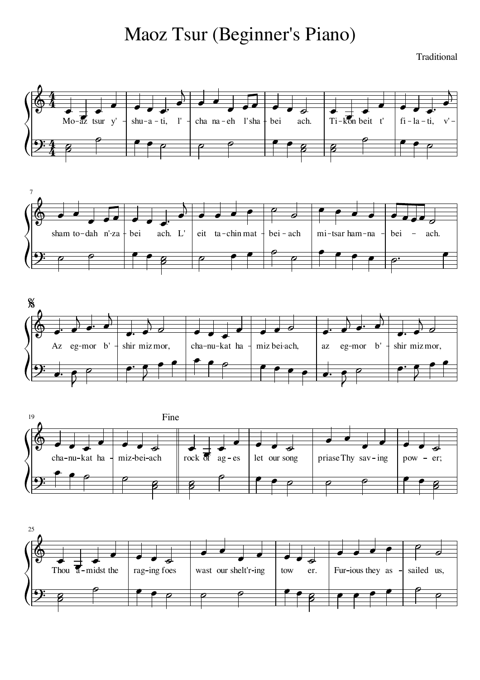## Maoz Tsur (Beginner's Piano)

Traditional